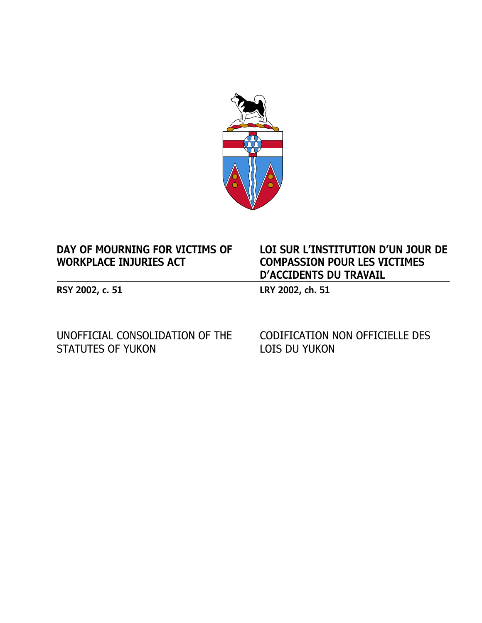

# **DAY OF MOURNING FOR VICTIMS OF WORKPLACE INJURIES ACT**

**RSY 2002, c. 51 LRY 2002, ch. 51**

UNOFFICIAL CONSOLIDATION OF THE STATUTES OF YUKON

CODIFICATION NON OFFICIELLE DES LOIS DU YUKON

**LOI SUR L'INSTITUTION D'UN JOUR DE** 

**COMPASSION POUR LES VICTIMES** 

**D'ACCIDENTS DU TRAVAIL**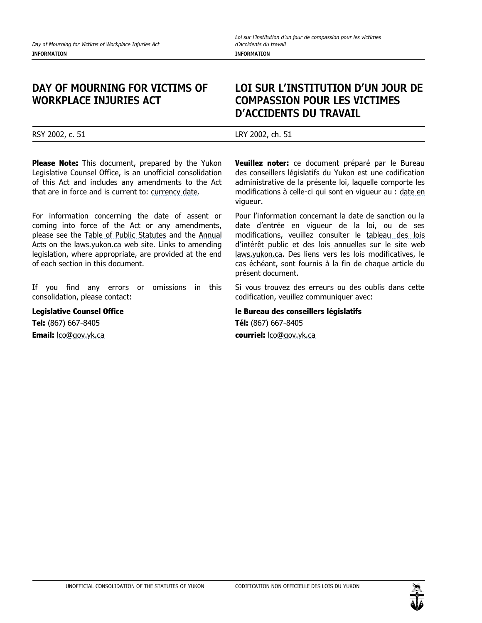#### **DAY OF MOURNING FOR VICTIMS OF WORKPLACE INJURIES ACT**

# **LOI SUR L'INSTITUTION D'UN JOUR DE COMPASSION POUR LES VICTIMES D'ACCIDENTS DU TRAVAIL**

RSY 2002, c. 51 LRY 2002, ch. 51

**Please Note:** This document, prepared by the Yukon Legislative Counsel Office, is an unofficial consolidation of this Act and includes any amendments to the Act that are in force and is current to: [currency date.](https://laws.yukon.ca/cms/currency-date.html)

For information concerning the date of assent or coming into force of the Act or any amendments, please see the [Table of Public Statutes](https://laws.yukon.ca/cms/table-of-public-statutes.html) and the [Annual](https://laws.yukon.ca/cms/acts-by-year.html)  [Acts](https://laws.yukon.ca/cms/acts-by-year.html) on the [laws.yukon.ca](https://laws.yukon.ca/) web site. Links to amending legislation, where appropriate, are provided at the end of each section in this document.

If you find any errors or omissions in this consolidation, please contact:

**Legislative Counsel Office**

**Tel:** (867) 667-8405 **Email:** [lco@gov.yk.ca](mailto:lco@gov.yk.ca) **Veuillez noter:** ce document préparé par le Bureau des conseillers législatifs du Yukon est une codification administrative de la présente loi, laquelle comporte les modifications à celle-ci qui sont en vigueur au : [date en](https://laws.yukon.ca/cms/currency-date.html)  [vigueur.](https://laws.yukon.ca/cms/currency-date.html)

Pour l'information concernant la date de sanction ou la date d'entrée en vigueur de la loi, ou de ses modifications, veuillez consulter le [tableau des lois](https://laws.yukon.ca/cms/table-of-public-statutes.html)  [d'intérêt public](https://laws.yukon.ca/cms/table-of-public-statutes.html) et des [lois annuelles](https://laws.yukon.ca/cms/acts-by-year.html) sur le site web [laws.yukon.ca.](https://laws.yukon.ca/) Des liens vers les lois modificatives, le cas échéant, sont fournis à la fin de chaque article du présent document.

Si vous trouvez des erreurs ou des oublis dans cette codification, veuillez communiquer avec:

**le Bureau des conseillers législatifs**

**Tél:** (867) 667-8405 **courriel:** [lco@gov.yk.ca](mailto:lco@gov.yk.ca)